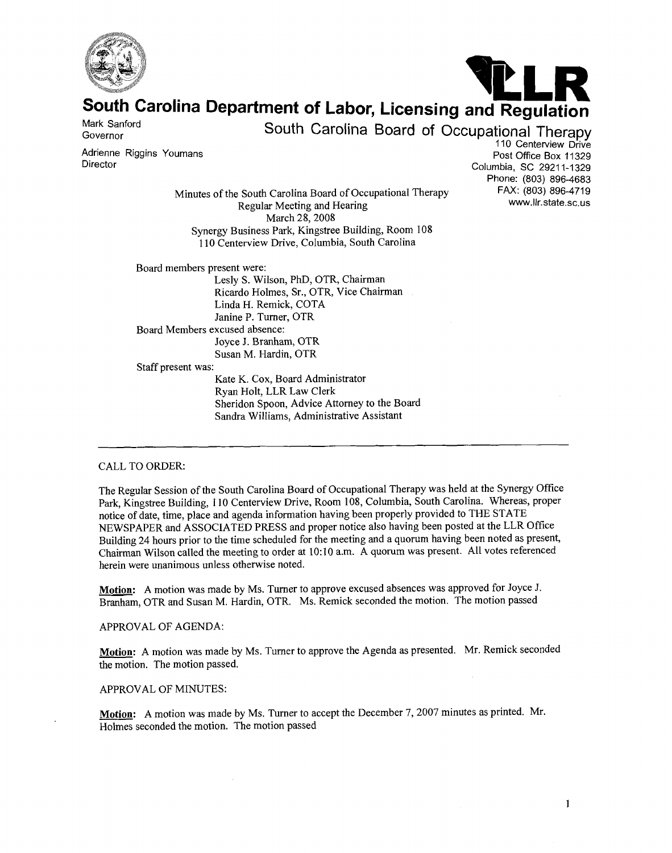



# South Carolina Department of Labor, Licensing and Regulation

Mark Sanford<br>Governor

South Carolina Board of Occupational Therapy

110 Centerview Drive (110 Centerview Drive مستوى السابقة )<br>Post Office Box 11329<br>Polymbia, SC 29211-1329 Olymbia, SC 29211-1329 Phone: (803) 896-4683

Minutes of the South Carolina Board of Occupational Therapy FAX: (803) 896-4719<br>Excular Meating and Hearing Regular Meeting and Hearing. March 28, 2008 Synergy Business Park, Kingstree Building, Room 108 110 Centerview Drive, Columbia, South Carolina

Board members present were: Lesly S. Wilson, PhD, OTR, Chairman Ricardo Holmes, Sr., OTR, Vice Chairman Linda H. Remick, COTA Janine P. Turner, OTR Board Members excused absence: Joyce J. Branham, OTR Susan M. Hardin, OTR Staff present was: Kate K. Cox, Board Administrator

Ryan Holt, LLR Law Clerk Sheridon Spoon, Advice Attorney to the Board Sandra Williams, Administrative Assistant

# CALL TO ORDER:

The Regular Session of the South Carolina Board of Occupational Therapy was held at the Synergy Office Park, Kingstree Building, 110 Centerview Drive, Room 108, Columbia, South Carolina. Whereas, proper notice of date, time, place and agenda information having been properly provided to THE STATE NEWSPAPER and ASSOCIATED PRESS and proper notice also having been posted at the LLR Office Building 24 hours prior to the time scheduled for the meeting and a quorum having been noted as present, Chairman Wilson called the meeting to order at 10: 10 a.m. A quorum was present. All votes referenced herein were unanimous unless otherwise noted.

**Motion:** A motion was made by Ms. Turner to approve excused absences was approved for Joyce J. Branham, OTR and Susan M. Hardin, OTR. Ms. Remick seconded the motion. The motion passed

#### APPROVAL OF AGENDA:

**Motion:** A motion was made by Ms. Turner to approve the Agenda as presented. Mr. Remick seconded the motion. The motion passed.

#### APPROVAL OF MINUTES:

Motion: A motion was made by Ms. Turner to accept the December 7, 2007 minutes as printed. Mr. Holmes seconded the motion. The motion passed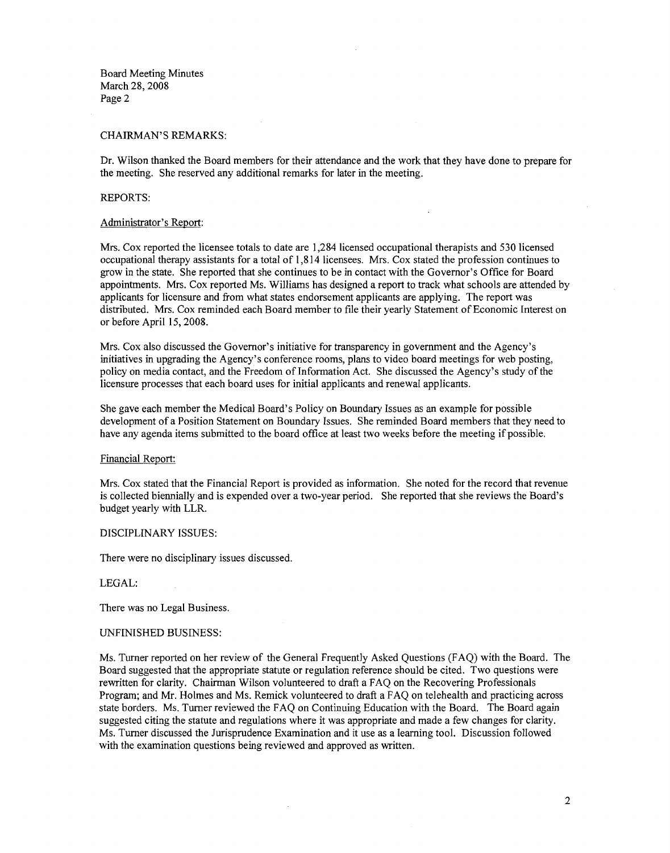Board Meeting Minutes March 28,2008 Page 2

## CHAIRMAN'S REMARKS:

Dr. Wilson thanked the Board members for their attendance and the work that they have done to prepare for the meeting. She reserved any additional remarks for later in the meeting.

# REPORTS:

#### Administrator's Report:

Mrs. Cox reported the licensee totals to date are 1,284 licensed occupational therapists and 530 licensed occupational therapy assistants for a total of 1,8 14 licensees. Mrs. Cox stated the profession continues to grow in the state. She reported that she continues to be in contact with the Governor's Office for Board appointments. Mrs. Cox reported Ms. Williams has designed a report to track what schools are attended by applicants for licensure and from what states endorsement applicants are applying. The report was distributed. Mrs. Cox reminded each Board member to file their yearly Statement of Economic Interest on or before April 15,2008.

Mrs. Cox also discussed the Governor's initiative for transparency in government and the Agency's initiatives in upgrading the Agency's conference rooms, plans to video board meetings for web posting, policy on media contact, and the Freedom of Information Act. She discussed the Agency's study of the licensure processes that each board uses for initial applicants and renewal applicants.

She gave each member the Medical Board's Policy on Boundary Issues as an example for possible development of a Position Statement on Boundary Issues. She reminded Board members that they need to have any agenda items submitted to the board office at least two weeks before the meeting if possible.

#### Financial Report:

Mrs. Cox stated that the Financial Report is provided as information. She noted for the record that revenue is collected biennially and is expended over a two-year period. She reported that she reviews the Board's budget yearly with LLR.

## DISCIPLINARY ISSUES:

There were no disciplinary issues discussed.

# LEGAL:

There was no Legal Business.

#### UNFINISHED BUSINESS:

Ms. Turner reported on her review of the General Frequently Asked Questions (FAQ) with the Board. The Board suggested that the appropriate statute or regulation reference should be cited. Two questions were rewritten for clarity. Chairman Wilson volunteered to draft a FAQ on the Recovering Professionals Program; and Mr. Holmes and Ms. Remick volunteered to draft a FAQ on telehealth and practicing across state borders. Ms. Turner reviewed the FAQ on Continuing Education with the Board. The Board again suggested citing the statute and regulations where it was appropriate and made a few changes for clarity. Ms. Turner discussed the Jurisprudence Examination and it use as a learning tool. Discussion followed with the examination questions being reviewed and approved as written.